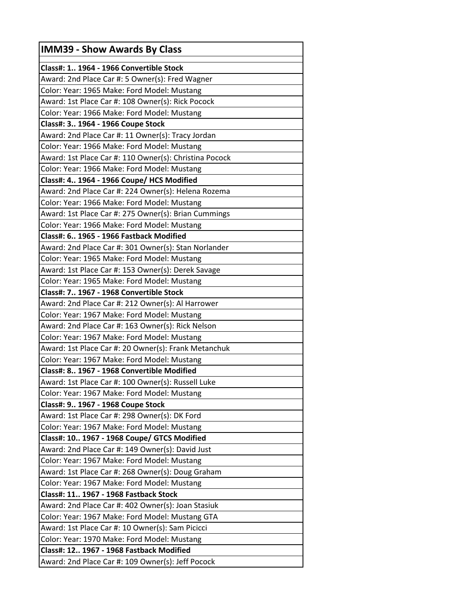| <b>IMM39 - Show Awards By Class</b>                    |
|--------------------------------------------------------|
| Class#: 1 1964 - 1966 Convertible Stock                |
| Award: 2nd Place Car #: 5 Owner(s): Fred Wagner        |
| Color: Year: 1965 Make: Ford Model: Mustang            |
| Award: 1st Place Car #: 108 Owner(s): Rick Pocock      |
| Color: Year: 1966 Make: Ford Model: Mustang            |
| Class#: 3 1964 - 1966 Coupe Stock                      |
| Award: 2nd Place Car #: 11 Owner(s): Tracy Jordan      |
| Color: Year: 1966 Make: Ford Model: Mustang            |
| Award: 1st Place Car #: 110 Owner(s): Christina Pocock |
| Color: Year: 1966 Make: Ford Model: Mustang            |
| Class#: 4 1964 - 1966 Coupe/ HCS Modified              |
| Award: 2nd Place Car #: 224 Owner(s): Helena Rozema    |
| Color: Year: 1966 Make: Ford Model: Mustang            |
| Award: 1st Place Car #: 275 Owner(s): Brian Cummings   |
| Color: Year: 1966 Make: Ford Model: Mustang            |
| Class#: 6 1965 - 1966 Fastback Modified                |
| Award: 2nd Place Car #: 301 Owner(s): Stan Norlander   |
| Color: Year: 1965 Make: Ford Model: Mustang            |
| Award: 1st Place Car #: 153 Owner(s): Derek Savage     |
| Color: Year: 1965 Make: Ford Model: Mustang            |
| Class#: 7 1967 - 1968 Convertible Stock                |
| Award: 2nd Place Car #: 212 Owner(s): Al Harrower      |
| Color: Year: 1967 Make: Ford Model: Mustang            |
| Award: 2nd Place Car #: 163 Owner(s): Rick Nelson      |
| Color: Year: 1967 Make: Ford Model: Mustang            |
| Award: 1st Place Car #: 20 Owner(s): Frank Metanchuk   |
| Color: Year: 1967 Make: Ford Model: Mustang            |
| Class#: 8 1967 - 1968 Convertible Modified             |
| Award: 1st Place Car #: 100 Owner(s): Russell Luke     |
| Color: Year: 1967 Make: Ford Model: Mustang            |
| Class#: 9 1967 - 1968 Coupe Stock                      |
| Award: 1st Place Car #: 298 Owner(s): DK Ford          |
| Color: Year: 1967 Make: Ford Model: Mustang            |
| Class#: 10 1967 - 1968 Coupe/ GTCS Modified            |
| Award: 2nd Place Car #: 149 Owner(s): David Just       |
| Color: Year: 1967 Make: Ford Model: Mustang            |
| Award: 1st Place Car #: 268 Owner(s): Doug Graham      |
| Color: Year: 1967 Make: Ford Model: Mustang            |
| Class#: 11 1967 - 1968 Fastback Stock                  |
| Award: 2nd Place Car #: 402 Owner(s): Joan Stasiuk     |
| Color: Year: 1967 Make: Ford Model: Mustang GTA        |
| Award: 1st Place Car #: 10 Owner(s): Sam Picicci       |
| Color: Year: 1970 Make: Ford Model: Mustang            |
| Class#: 12 1967 - 1968 Fastback Modified               |
| Award: 2nd Place Car #: 109 Owner(s): Jeff Pocock      |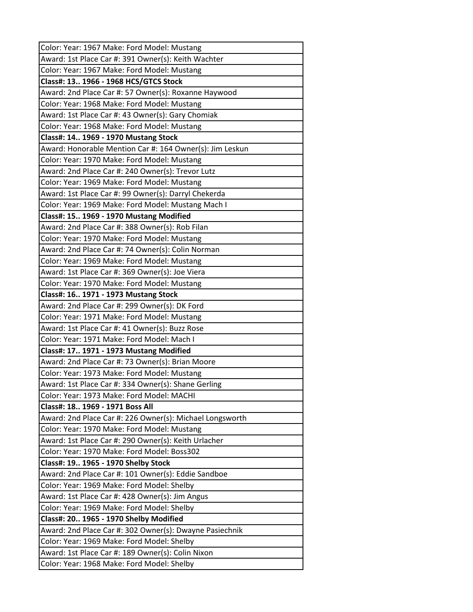| Color: Year: 1967 Make: Ford Model: Mustang              |
|----------------------------------------------------------|
| Award: 1st Place Car #: 391 Owner(s): Keith Wachter      |
| Color: Year: 1967 Make: Ford Model: Mustang              |
| Class#: 13 1966 - 1968 HCS/GTCS Stock                    |
| Award: 2nd Place Car #: 57 Owner(s): Roxanne Haywood     |
| Color: Year: 1968 Make: Ford Model: Mustang              |
| Award: 1st Place Car #: 43 Owner(s): Gary Chomiak        |
| Color: Year: 1968 Make: Ford Model: Mustang              |
| Class#: 14 1969 - 1970 Mustang Stock                     |
| Award: Honorable Mention Car #: 164 Owner(s): Jim Leskun |
| Color: Year: 1970 Make: Ford Model: Mustang              |
| Award: 2nd Place Car #: 240 Owner(s): Trevor Lutz        |
| Color: Year: 1969 Make: Ford Model: Mustang              |
| Award: 1st Place Car #: 99 Owner(s): Darryl Chekerda     |
| Color: Year: 1969 Make: Ford Model: Mustang Mach I       |
| Class#: 15 1969 - 1970 Mustang Modified                  |
| Award: 2nd Place Car #: 388 Owner(s): Rob Filan          |
| Color: Year: 1970 Make: Ford Model: Mustang              |
| Award: 2nd Place Car #: 74 Owner(s): Colin Norman        |
| Color: Year: 1969 Make: Ford Model: Mustang              |
| Award: 1st Place Car #: 369 Owner(s): Joe Viera          |
| Color: Year: 1970 Make: Ford Model: Mustang              |
| Class#: 16 1971 - 1973 Mustang Stock                     |
| Award: 2nd Place Car #: 299 Owner(s): DK Ford            |
| Color: Year: 1971 Make: Ford Model: Mustang              |
| Award: 1st Place Car #: 41 Owner(s): Buzz Rose           |
| Color: Year: 1971 Make: Ford Model: Mach I               |
| Class#: 17 1971 - 1973 Mustang Modified                  |
| Award: 2nd Place Car #: 73 Owner(s): Brian Moore         |
| Color: Year: 1973 Make: Ford Model: Mustang              |
| Award: 1st Place Car #: 334 Owner(s): Shane Gerling      |
| Color: Year: 1973 Make: Ford Model: MACHI                |
| Class#: 18 1969 - 1971 Boss All                          |
| Award: 2nd Place Car #: 226 Owner(s): Michael Longsworth |
| Color: Year: 1970 Make: Ford Model: Mustang              |
| Award: 1st Place Car #: 290 Owner(s): Keith Urlacher     |
| Color: Year: 1970 Make: Ford Model: Boss302              |
| Class#: 19 1965 - 1970 Shelby Stock                      |
| Award: 2nd Place Car #: 101 Owner(s): Eddie Sandboe      |
| Color: Year: 1969 Make: Ford Model: Shelby               |
| Award: 1st Place Car #: 428 Owner(s): Jim Angus          |
| Color: Year: 1969 Make: Ford Model: Shelby               |
| Class#: 20 1965 - 1970 Shelby Modified                   |
| Award: 2nd Place Car #: 302 Owner(s): Dwayne Pasiechnik  |
| Color: Year: 1969 Make: Ford Model: Shelby               |
| Award: 1st Place Car #: 189 Owner(s): Colin Nixon        |
| Color: Year: 1968 Make: Ford Model: Shelby               |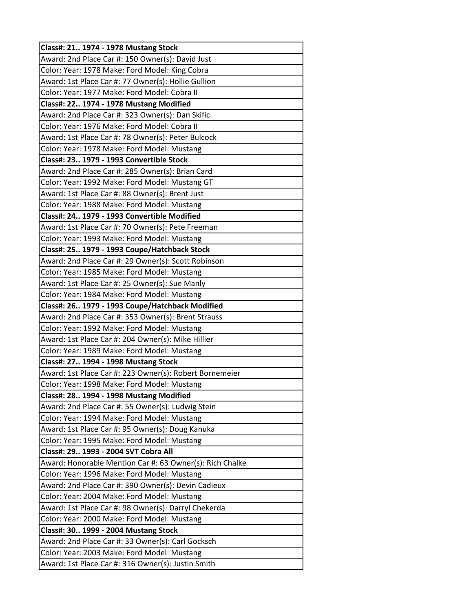| Class#: 21 1974 - 1978 Mustang Stock                     |
|----------------------------------------------------------|
| Award: 2nd Place Car #: 150 Owner(s): David Just         |
| Color: Year: 1978 Make: Ford Model: King Cobra           |
| Award: 1st Place Car #: 77 Owner(s): Hollie Gullion      |
| Color: Year: 1977 Make: Ford Model: Cobra II             |
| Class#: 22 1974 - 1978 Mustang Modified                  |
| Award: 2nd Place Car #: 323 Owner(s): Dan Skific         |
| Color: Year: 1976 Make: Ford Model: Cobra II             |
| Award: 1st Place Car #: 78 Owner(s): Peter Bulcock       |
| Color: Year: 1978 Make: Ford Model: Mustang              |
| Class#: 23 1979 - 1993 Convertible Stock                 |
| Award: 2nd Place Car #: 285 Owner(s): Brian Card         |
| Color: Year: 1992 Make: Ford Model: Mustang GT           |
| Award: 1st Place Car #: 88 Owner(s): Brent Just          |
| Color: Year: 1988 Make: Ford Model: Mustang              |
| Class#: 24 1979 - 1993 Convertible Modified              |
| Award: 1st Place Car #: 70 Owner(s): Pete Freeman        |
| Color: Year: 1993 Make: Ford Model: Mustang              |
| Class#: 25 1979 - 1993 Coupe/Hatchback Stock             |
| Award: 2nd Place Car #: 29 Owner(s): Scott Robinson      |
| Color: Year: 1985 Make: Ford Model: Mustang              |
| Award: 1st Place Car #: 25 Owner(s): Sue Manly           |
| Color: Year: 1984 Make: Ford Model: Mustang              |
| Class#: 26 1979 - 1993 Coupe/Hatchback Modified          |
| Award: 2nd Place Car #: 353 Owner(s): Brent Strauss      |
| Color: Year: 1992 Make: Ford Model: Mustang              |
| Award: 1st Place Car #: 204 Owner(s): Mike Hillier       |
| Color: Year: 1989 Make: Ford Model: Mustang              |
| Class#: 27 1994 - 1998 Mustang Stock                     |
| Award: 1st Place Car #: 223 Owner(s): Robert Bornemeier  |
| Color: Year: 1998 Make: Ford Model: Mustang              |
| Class#: 28 1994 - 1998 Mustang Modified                  |
| Award: 2nd Place Car #: 55 Owner(s): Ludwig Stein        |
| Color: Year: 1994 Make: Ford Model: Mustang              |
| Award: 1st Place Car #: 95 Owner(s): Doug Kanuka         |
| Color: Year: 1995 Make: Ford Model: Mustang              |
| Class#: 29 1993 - 2004 SVT Cobra All                     |
| Award: Honorable Mention Car #: 63 Owner(s): Rich Chalke |
| Color: Year: 1996 Make: Ford Model: Mustang              |
| Award: 2nd Place Car #: 390 Owner(s): Devin Cadieux      |
| Color: Year: 2004 Make: Ford Model: Mustang              |
| Award: 1st Place Car #: 98 Owner(s): Darryl Chekerda     |
| Color: Year: 2000 Make: Ford Model: Mustang              |
| Class#: 30 1999 - 2004 Mustang Stock                     |
| Award: 2nd Place Car #: 33 Owner(s): Carl Gocksch        |
| Color: Year: 2003 Make: Ford Model: Mustang              |
| Award: 1st Place Car #: 316 Owner(s): Justin Smith       |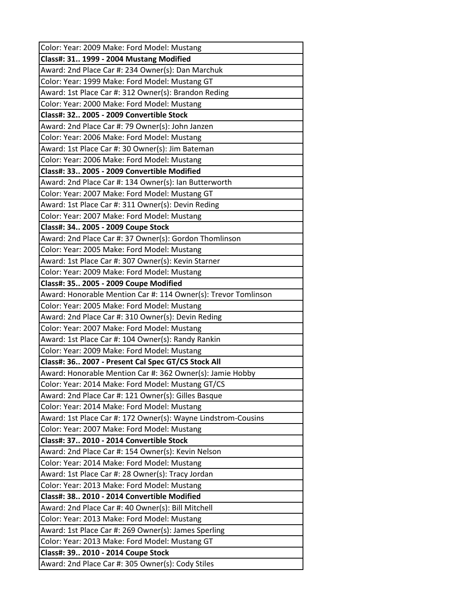| Color: Year: 2009 Make: Ford Model: Mustang                    |
|----------------------------------------------------------------|
| Class#: 31 1999 - 2004 Mustang Modified                        |
| Award: 2nd Place Car #: 234 Owner(s): Dan Marchuk              |
| Color: Year: 1999 Make: Ford Model: Mustang GT                 |
| Award: 1st Place Car #: 312 Owner(s): Brandon Reding           |
| Color: Year: 2000 Make: Ford Model: Mustang                    |
| Class#: 32 2005 - 2009 Convertible Stock                       |
| Award: 2nd Place Car #: 79 Owner(s): John Janzen               |
| Color: Year: 2006 Make: Ford Model: Mustang                    |
| Award: 1st Place Car #: 30 Owner(s): Jim Bateman               |
| Color: Year: 2006 Make: Ford Model: Mustang                    |
| Class#: 33 2005 - 2009 Convertible Modified                    |
| Award: 2nd Place Car #: 134 Owner(s): Ian Butterworth          |
| Color: Year: 2007 Make: Ford Model: Mustang GT                 |
| Award: 1st Place Car #: 311 Owner(s): Devin Reding             |
| Color: Year: 2007 Make: Ford Model: Mustang                    |
| Class#: 34 2005 - 2009 Coupe Stock                             |
| Award: 2nd Place Car #: 37 Owner(s): Gordon Thomlinson         |
| Color: Year: 2005 Make: Ford Model: Mustang                    |
| Award: 1st Place Car #: 307 Owner(s): Kevin Starner            |
| Color: Year: 2009 Make: Ford Model: Mustang                    |
| Class#: 35 2005 - 2009 Coupe Modified                          |
| Award: Honorable Mention Car #: 114 Owner(s): Trevor Tomlinson |
| Color: Year: 2005 Make: Ford Model: Mustang                    |
| Award: 2nd Place Car #: 310 Owner(s): Devin Reding             |
| Color: Year: 2007 Make: Ford Model: Mustang                    |
| Award: 1st Place Car #: 104 Owner(s): Randy Rankin             |
| Color: Year: 2009 Make: Ford Model: Mustang                    |
| Class#: 36 2007 - Present Cal Spec GT/CS Stock All             |
| Award: Honorable Mention Car #: 362 Owner(s): Jamie Hobby      |
| Color: Year: 2014 Make: Ford Model: Mustang GT/CS              |
| Award: 2nd Place Car #: 121 Owner(s): Gilles Basque            |
| Color: Year: 2014 Make: Ford Model: Mustang                    |
| Award: 1st Place Car #: 172 Owner(s): Wayne Lindstrom-Cousins  |
| Color: Year: 2007 Make: Ford Model: Mustang                    |
| Class#: 37 2010 - 2014 Convertible Stock                       |
| Award: 2nd Place Car #: 154 Owner(s): Kevin Nelson             |
| Color: Year: 2014 Make: Ford Model: Mustang                    |
| Award: 1st Place Car #: 28 Owner(s): Tracy Jordan              |
| Color: Year: 2013 Make: Ford Model: Mustang                    |
| Class#: 38 2010 - 2014 Convertible Modified                    |
| Award: 2nd Place Car #: 40 Owner(s): Bill Mitchell             |
| Color: Year: 2013 Make: Ford Model: Mustang                    |
| Award: 1st Place Car #: 269 Owner(s): James Sperling           |
| Color: Year: 2013 Make: Ford Model: Mustang GT                 |
| Class#: 39 2010 - 2014 Coupe Stock                             |
| Award: 2nd Place Car #: 305 Owner(s): Cody Stiles              |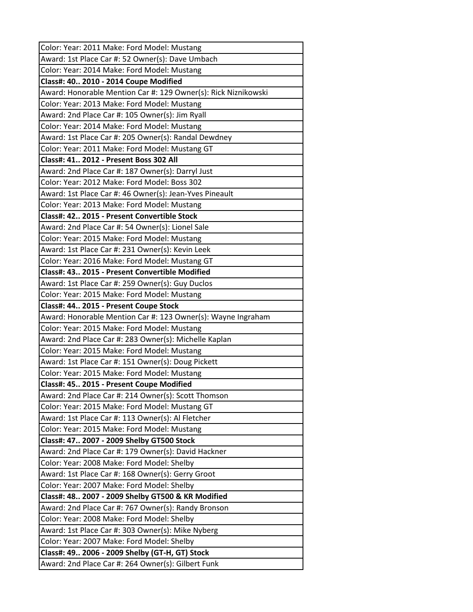| Color: Year: 2011 Make: Ford Model: Mustang                                                       |
|---------------------------------------------------------------------------------------------------|
| Award: 1st Place Car #: 52 Owner(s): Dave Umbach                                                  |
| Color: Year: 2014 Make: Ford Model: Mustang                                                       |
| Class#: 40 2010 - 2014 Coupe Modified                                                             |
| Award: Honorable Mention Car #: 129 Owner(s): Rick Niznikowski                                    |
| Color: Year: 2013 Make: Ford Model: Mustang                                                       |
| Award: 2nd Place Car #: 105 Owner(s): Jim Ryall                                                   |
| Color: Year: 2014 Make: Ford Model: Mustang                                                       |
| Award: 1st Place Car #: 205 Owner(s): Randal Dewdney                                              |
| Color: Year: 2011 Make: Ford Model: Mustang GT                                                    |
| Class#: 41 2012 - Present Boss 302 All                                                            |
| Award: 2nd Place Car #: 187 Owner(s): Darryl Just                                                 |
| Color: Year: 2012 Make: Ford Model: Boss 302                                                      |
| Award: 1st Place Car #: 46 Owner(s): Jean-Yves Pineault                                           |
| Color: Year: 2013 Make: Ford Model: Mustang                                                       |
| Class#: 42 2015 - Present Convertible Stock                                                       |
| Award: 2nd Place Car #: 54 Owner(s): Lionel Sale                                                  |
| Color: Year: 2015 Make: Ford Model: Mustang                                                       |
| Award: 1st Place Car #: 231 Owner(s): Kevin Leek                                                  |
| Color: Year: 2016 Make: Ford Model: Mustang GT                                                    |
| Class#: 43 2015 - Present Convertible Modified                                                    |
| Award: 1st Place Car #: 259 Owner(s): Guy Duclos                                                  |
| Color: Year: 2015 Make: Ford Model: Mustang                                                       |
| Class#: 44 2015 - Present Coupe Stock                                                             |
| Award: Honorable Mention Car #: 123 Owner(s): Wayne Ingraham                                      |
| Color: Year: 2015 Make: Ford Model: Mustang                                                       |
| Award: 2nd Place Car #: 283 Owner(s): Michelle Kaplan                                             |
| Color: Year: 2015 Make: Ford Model: Mustang                                                       |
| Award: 1st Place Car #: 151 Owner(s): Doug Pickett                                                |
| Color: Year: 2015 Make: Ford Model: Mustang                                                       |
| Class#: 45 2015 - Present Coupe Modified                                                          |
| Award: 2nd Place Car #: 214 Owner(s): Scott Thomson                                               |
| Color: Year: 2015 Make: Ford Model: Mustang GT                                                    |
| Award: 1st Place Car #: 113 Owner(s): Al Fletcher                                                 |
| Color: Year: 2015 Make: Ford Model: Mustang                                                       |
| Class#: 47 2007 - 2009 Shelby GT500 Stock                                                         |
| Award: 2nd Place Car #: 179 Owner(s): David Hackner                                               |
| Color: Year: 2008 Make: Ford Model: Shelby                                                        |
| Award: 1st Place Car #: 168 Owner(s): Gerry Groot                                                 |
| Color: Year: 2007 Make: Ford Model: Shelby                                                        |
| Class#: 48 2007 - 2009 Shelby GT500 & KR Modified                                                 |
| Award: 2nd Place Car #: 767 Owner(s): Randy Bronson<br>Color: Year: 2008 Make: Ford Model: Shelby |
|                                                                                                   |
| Award: 1st Place Car #: 303 Owner(s): Mike Nyberg<br>Color: Year: 2007 Make: Ford Model: Shelby   |
|                                                                                                   |
| Class#: 49 2006 - 2009 Shelby (GT-H, GT) Stock                                                    |
| Award: 2nd Place Car #: 264 Owner(s): Gilbert Funk                                                |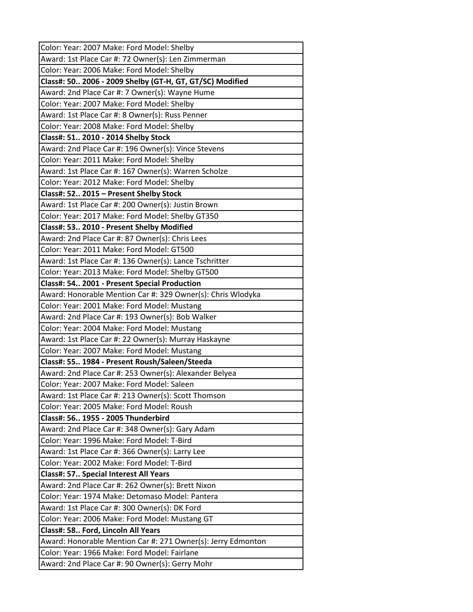| Color: Year: 2007 Make: Ford Model: Shelby                   |
|--------------------------------------------------------------|
| Award: 1st Place Car #: 72 Owner(s): Len Zimmerman           |
| Color: Year: 2006 Make: Ford Model: Shelby                   |
| Class#: 50 2006 - 2009 Shelby (GT-H, GT, GT/SC) Modified     |
| Award: 2nd Place Car #: 7 Owner(s): Wayne Hume               |
| Color: Year: 2007 Make: Ford Model: Shelby                   |
| Award: 1st Place Car #: 8 Owner(s): Russ Penner              |
| Color: Year: 2008 Make: Ford Model: Shelby                   |
| Class#: 51 2010 - 2014 Shelby Stock                          |
| Award: 2nd Place Car #: 196 Owner(s): Vince Stevens          |
| Color: Year: 2011 Make: Ford Model: Shelby                   |
| Award: 1st Place Car #: 167 Owner(s): Warren Scholze         |
| Color: Year: 2012 Make: Ford Model: Shelby                   |
| Class#: 52 2015 - Present Shelby Stock                       |
| Award: 1st Place Car #: 200 Owner(s): Justin Brown           |
| Color: Year: 2017 Make: Ford Model: Shelby GT350             |
| Class#: 53 2010 - Present Shelby Modified                    |
| Award: 2nd Place Car #: 87 Owner(s): Chris Lees              |
| Color: Year: 2011 Make: Ford Model: GT500                    |
| Award: 1st Place Car #: 136 Owner(s): Lance Tschritter       |
| Color: Year: 2013 Make: Ford Model: Shelby GT500             |
| Class#: 54 2001 - Present Special Production                 |
| Award: Honorable Mention Car #: 329 Owner(s): Chris Wlodyka  |
| Color: Year: 2001 Make: Ford Model: Mustang                  |
| Award: 2nd Place Car #: 193 Owner(s): Bob Walker             |
| Color: Year: 2004 Make: Ford Model: Mustang                  |
| Award: 1st Place Car #: 22 Owner(s): Murray Haskayne         |
| Color: Year: 2007 Make: Ford Model: Mustang                  |
| Class#: 55 1984 - Present Roush/Saleen/Steeda                |
| Award: 2nd Place Car #: 253 Owner(s): Alexander Belyea       |
| Color: Year: 2007 Make: Ford Model: Saleen                   |
| Award: 1st Place Car #: 213 Owner(s): Scott Thomson          |
| Color: Year: 2005 Make: Ford Model: Roush                    |
| Class#: 56 1955 - 2005 Thunderbird                           |
| Award: 2nd Place Car #: 348 Owner(s): Gary Adam              |
| Color: Year: 1996 Make: Ford Model: T-Bird                   |
| Award: 1st Place Car #: 366 Owner(s): Larry Lee              |
| Color: Year: 2002 Make: Ford Model: T-Bird                   |
| <b>Class#: 57 Special Interest All Years</b>                 |
| Award: 2nd Place Car #: 262 Owner(s): Brett Nixon            |
| Color: Year: 1974 Make: Detomaso Model: Pantera              |
| Award: 1st Place Car #: 300 Owner(s): DK Ford                |
| Color: Year: 2006 Make: Ford Model: Mustang GT               |
| Class#: 58 Ford, Lincoln All Years                           |
| Award: Honorable Mention Car #: 271 Owner(s): Jerry Edmonton |
| Color: Year: 1966 Make: Ford Model: Fairlane                 |
| Award: 2nd Place Car #: 90 Owner(s): Gerry Mohr              |